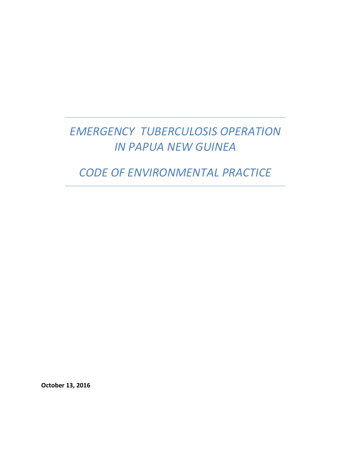# *EMERGENCY TUBERCULOSIS OPERATION IN PAPUA NEW GUINEA*

*CODE OF ENVIRONMENTAL PRACTICE*

**October 13, 2016**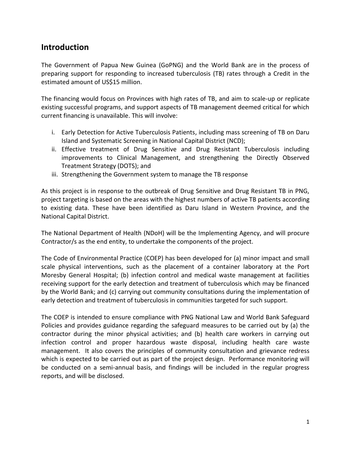# **Introduction**

The Government of Papua New Guinea (GoPNG) and the World Bank are in the process of preparing support for responding to increased tuberculosis (TB) rates through a Credit in the estimated amount of US\$15 million.

The financing would focus on Provinces with high rates of TB, and aim to scale-up or replicate existing successful programs, and support aspects of TB management deemed critical for which current financing is unavailable. This will involve:

- i. Early Detection for Active Tuberculosis Patients, including mass screening of TB on Daru Island and Systematic Screening in National Capital District (NCD);
- ii. Effective treatment of Drug Sensitive and Drug Resistant Tuberculosis including improvements to Clinical Management, and strengthening the Directly Observed Treatment Strategy (DOTS); and
- iii. Strengthening the Government system to manage the TB response

As this project is in response to the outbreak of Drug Sensitive and Drug Resistant TB in PNG, project targeting is based on the areas with the highest numbers of active TB patients according to existing data. These have been identified as Daru Island in Western Province, and the National Capital District.

The National Department of Health (NDoH) will be the Implementing Agency, and will procure Contractor/s as the end entity, to undertake the components of the project.

The Code of Environmental Practice (COEP) has been developed for (a) minor impact and small scale physical interventions, such as the placement of a container laboratory at the Port Moresby General Hospital; (b) infection control and medical waste management at facilities receiving support for the early detection and treatment of tuberculosis which may be financed by the World Bank; and (c) carrying out community consultations during the implementation of early detection and treatment of tuberculosis in communities targeted for such support.

The COEP is intended to ensure compliance with PNG National Law and World Bank Safeguard Policies and provides guidance regarding the safeguard measures to be carried out by (a) the contractor during the minor physical activities; and (b) health care workers in carrying out infection control and proper hazardous waste disposal, including health care waste management. It also covers the principles of community consultation and grievance redress which is expected to be carried out as part of the project design. Performance monitoring will be conducted on a semi-annual basis, and findings will be included in the regular progress reports, and will be disclosed.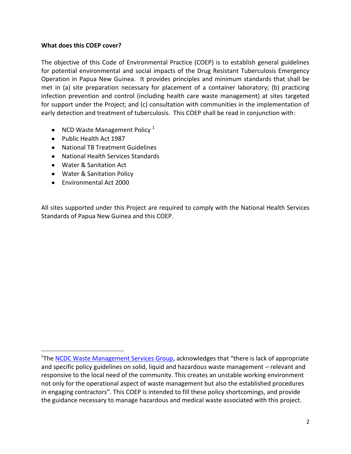#### **What does this COEP cover?**

The objective of this Code of Environmental Practice (COEP) is to establish general guidelines for potential environmental and social impacts of the Drug Resistant Tuberculosis Emergency Operation in Papua New Guinea. It provides principles and minimum standards that shall be met in (a) site preparation necessary for placement of a container laboratory; (b) practicing infection prevention and control (including health care waste management) at sites targeted for support under the Project; and (c) consultation with communities in the implementation of early detection and treatment of tuberculosis. This COEP shall be read in conjunction with:

- NCD Waste Management Policy  $1$
- Public Health Act 1987
- National TB Treatment Guidelines
- National Health Services Standards
- Water & Sanitation Act
- Water & Sanitation Policy
- Environmental Act 2000

 $\overline{a}$ 

All sites supported under this Project are required to comply with the National Health Services Standards of Papua New Guinea and this COEP.

<sup>&</sup>lt;sup>1</sup>The [NCDC Waste Management Services Group,](http://ncdc1.pngclients.com/services/waste.html) acknowledges that "there is lack of appropriate and specific policy guidelines on solid, liquid and hazardous waste management – relevant and responsive to the local need of the community. This creates an unstable working environment not only for the operational aspect of waste management but also the established procedures in engaging contractors". This COEP is intended to fill these policy shortcomings, and provide the guidance necessary to manage hazardous and medical waste associated with this project.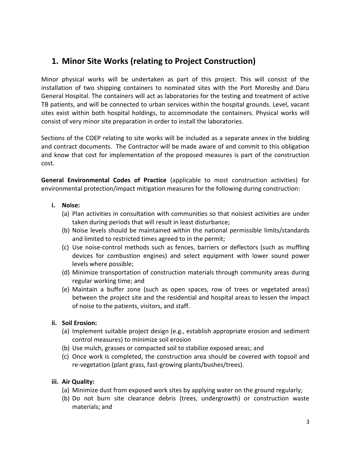# **1. Minor Site Works (relating to Project Construction)**

Minor physical works will be undertaken as part of this project. This will consist of the installation of two shipping containers to nominated sites with the Port Moresby and Daru General Hospital. The containers will act as laboratories for the testing and treatment of active TB patients, and will be connected to urban services within the hospital grounds. Level, vacant sites exist within both hospital holdings, to accommodate the containers. Physical works will consist of very minor site preparation in order to install the laboratories.

Sections of the COEP relating to site works will be included as a separate annex in the bidding and contract documents. The Contractor will be made aware of and commit to this obligation and know that cost for implementation of the proposed measures is part of the construction cost.

**General Environmental Codes of Practice** (applicable to most construction activities) for environmental protection/impact mitigation measures for the following during construction:

- **i. Noise:**
	- (a) Plan activities in consultation with communities so that noisiest activities are under taken during periods that will result in least disturbance;
	- (b) Noise levels should be maintained within the national permissible limits/standards and limited to restricted times agreed to in the permit;
	- (c) Use noise-control methods such as fences, barriers or deflectors (such as muffling devices for combustion engines) and select equipment with lower sound power levels where possible;
	- (d) Minimize transportation of construction materials through community areas during regular working time; and
	- (e) Maintain a buffer zone (such as open spaces, row of trees or vegetated areas) between the project site and the residential and hospital areas to lessen the impact of noise to the patients, visitors, and staff.

### **ii. Soil Erosion:**

- (a) Implement suitable project design (e.g., establish appropriate erosion and sediment control measures) to minimize soil erosion
- (b) Use mulch, grasses or compacted soil to stabilize exposed areas; and
- (c) Once work is completed, the construction area should be covered with topsoil and re-vegetation (plant grass, fast-growing plants/bushes/trees).

## **iii. Air Quality:**

- (a) Minimize dust from exposed work sites by applying water on the ground regularly;
- (b) Do not burn site clearance debris (trees, undergrowth) or construction waste materials; and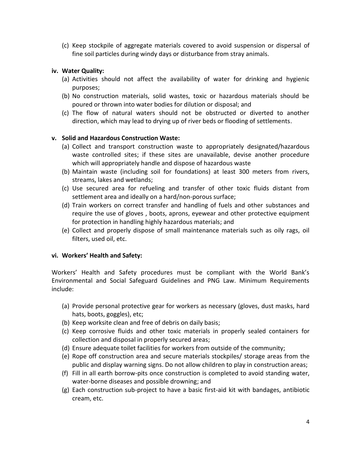(c) Keep stockpile of aggregate materials covered to avoid suspension or dispersal of fine soil particles during windy days or disturbance from stray animals.

#### **iv. Water Quality:**

- (a) Activities should not affect the availability of water for drinking and hygienic purposes;
- (b) No construction materials, solid wastes, toxic or hazardous materials should be poured or thrown into water bodies for dilution or disposal; and
- (c) The flow of natural waters should not be obstructed or diverted to another direction, which may lead to drying up of river beds or flooding of settlements.

#### **v. Solid and Hazardous Construction Waste:**

- (a) Collect and transport construction waste to appropriately designated/hazardous waste controlled sites; if these sites are unavailable, devise another procedure which will appropriately handle and dispose of hazardous waste
- (b) Maintain waste (including soil for foundations) at least 300 meters from rivers, streams, lakes and wetlands;
- (c) Use secured area for refueling and transfer of other toxic fluids distant from settlement area and ideally on a hard/non-porous surface;
- (d) Train workers on correct transfer and handling of fuels and other substances and require the use of gloves , boots, aprons, eyewear and other protective equipment for protection in handling highly hazardous materials; and
- (e) Collect and properly dispose of small maintenance materials such as oily rags, oil filters, used oil, etc.

#### **vi. Workers' Health and Safety:**

Workers' Health and Safety procedures must be compliant with the World Bank's Environmental and Social Safeguard Guidelines and PNG Law. Minimum Requirements include:

- (a) Provide personal protective gear for workers as necessary (gloves, dust masks, hard hats, boots, goggles), etc;
- (b) Keep worksite clean and free of debris on daily basis;
- (c) Keep corrosive fluids and other toxic materials in properly sealed containers for collection and disposal in properly secured areas;
- (d) Ensure adequate toilet facilities for workers from outside of the community;
- (e) Rope off construction area and secure materials stockpiles/ storage areas from the public and display warning signs. Do not allow children to play in construction areas;
- (f) Fill in all earth borrow-pits once construction is completed to avoid standing water, water-borne diseases and possible drowning; and
- (g) Each construction sub-project to have a basic first-aid kit with bandages, antibiotic cream, etc.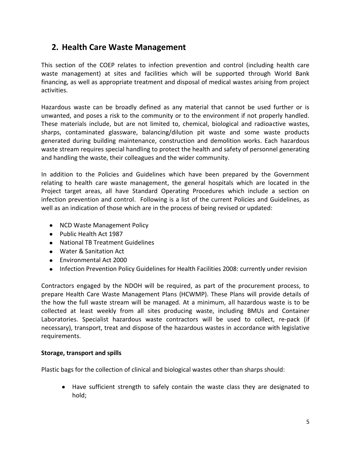# **2. Health Care Waste Management**

This section of the COEP relates to infection prevention and control (including health care waste management) at sites and facilities which will be supported through World Bank financing, as well as appropriate treatment and disposal of medical wastes arising from project activities.

Hazardous waste can be broadly defined as any material that cannot be used further or is unwanted, and poses a risk to the community or to the environment if not properly handled. These materials include, but are not limited to, chemical, biological and radioactive wastes, sharps, contaminated glassware, balancing/dilution pit waste and some waste products generated during building maintenance, construction and demolition works. Each hazardous waste stream requires special handling to protect the health and safety of personnel generating and handling the waste, their colleagues and the wider community.

In addition to the Policies and Guidelines which have been prepared by the Government relating to health care waste management, the general hospitals which are located in the Project target areas, all have Standard Operating Procedures which include a section on infection prevention and control. Following is a list of the current Policies and Guidelines, as well as an indication of those which are in the process of being revised or updated:

- NCD Waste Management Policy
- Public Health Act 1987
- National TB Treatment Guidelines
- Water & Sanitation Act
- Environmental Act 2000
- Infection Prevention Policy Guidelines for Health Facilities 2008: currently under revision  $\bullet$

Contractors engaged by the NDOH will be required, as part of the procurement process, to prepare Health Care Waste Management Plans (HCWMP). These Plans will provide details of the how the full waste stream will be managed. At a minimum, all hazardous waste is to be collected at least weekly from all sites producing waste, including BMUs and Container Laboratories. Specialist hazardous waste contractors will be used to collect, re-pack (if necessary), transport, treat and dispose of the hazardous wastes in accordance with legislative requirements.

### **Storage, transport and spills**

Plastic bags for the collection of clinical and biological wastes other than sharps should:

Have sufficient strength to safely contain the waste class they are designated to hold;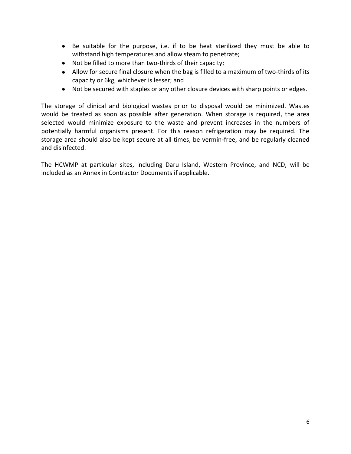- Be suitable for the purpose, i.e. if to be heat sterilized they must be able to withstand high temperatures and allow steam to penetrate;
- Not be filled to more than two-thirds of their capacity;
- Allow for secure final closure when the bag is filled to a maximum of two-thirds of its capacity or 6kg, whichever is lesser; and
- Not be secured with staples or any other closure devices with sharp points or edges.

The storage of clinical and biological wastes prior to disposal would be minimized. Wastes would be treated as soon as possible after generation. When storage is required, the area selected would minimize exposure to the waste and prevent increases in the numbers of potentially harmful organisms present. For this reason refrigeration may be required. The storage area should also be kept secure at all times, be vermin-free, and be regularly cleaned and disinfected.

The HCWMP at particular sites, including Daru Island, Western Province, and NCD, will be included as an Annex in Contractor Documents if applicable.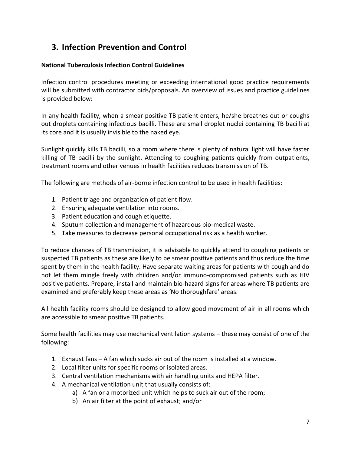# **3. Infection Prevention and Control**

### **National Tuberculosis Infection Control Guidelines**

Infection control procedures meeting or exceeding international good practice requirements will be submitted with contractor bids/proposals. An overview of issues and practice guidelines is provided below:

In any health facility, when a smear positive TB patient enters, he/she breathes out or coughs out droplets containing infectious bacilli. These are small droplet nuclei containing TB bacilli at its core and it is usually invisible to the naked eye.

Sunlight quickly kills TB bacilli, so a room where there is plenty of natural light will have faster killing of TB bacilli by the sunlight. Attending to coughing patients quickly from outpatients, treatment rooms and other venues in health facilities reduces transmission of TB.

The following are methods of air-borne infection control to be used in health facilities:

- 1. Patient triage and organization of patient flow.
- 2. Ensuring adequate ventilation into rooms.
- 3. Patient education and cough etiquette.
- 4. Sputum collection and management of hazardous bio-medical waste.
- 5. Take measures to decrease personal occupational risk as a health worker.

To reduce chances of TB transmission, it is advisable to quickly attend to coughing patients or suspected TB patients as these are likely to be smear positive patients and thus reduce the time spent by them in the health facility. Have separate waiting areas for patients with cough and do not let them mingle freely with children and/or immuno-compromised patients such as HIV positive patients. Prepare, install and maintain bio-hazard signs for areas where TB patients are examined and preferably keep these areas as 'No thoroughfare' areas.

All health facility rooms should be designed to allow good movement of air in all rooms which are accessible to smear positive TB patients.

Some health facilities may use mechanical ventilation systems – these may consist of one of the following:

- 1. Exhaust fans A fan which sucks air out of the room is installed at a window.
- 2. Local filter units for specific rooms or isolated areas.
- 3. Central ventilation mechanisms with air handling units and HEPA filter.
- 4. A mechanical ventilation unit that usually consists of:
	- a) A fan or a motorized unit which helps to suck air out of the room;
	- b) An air filter at the point of exhaust; and/or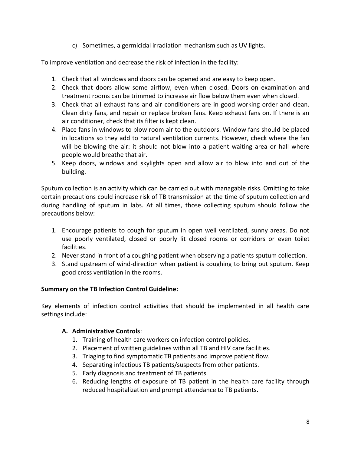c) Sometimes, a germicidal irradiation mechanism such as UV lights.

To improve ventilation and decrease the risk of infection in the facility:

- 1. Check that all windows and doors can be opened and are easy to keep open.
- 2. Check that doors allow some airflow, even when closed. Doors on examination and treatment rooms can be trimmed to increase air flow below them even when closed.
- 3. Check that all exhaust fans and air conditioners are in good working order and clean. Clean dirty fans, and repair or replace broken fans. Keep exhaust fans on. If there is an air conditioner, check that its filter is kept clean.
- 4. Place fans in windows to blow room air to the outdoors. Window fans should be placed in locations so they add to natural ventilation currents. However, check where the fan will be blowing the air: it should not blow into a patient waiting area or hall where people would breathe that air.
- 5. Keep doors, windows and skylights open and allow air to blow into and out of the building.

Sputum collection is an activity which can be carried out with managable risks. Omitting to take certain precautions could increase risk of TB transmission at the time of sputum collection and during handling of sputum in labs. At all times, those collecting sputum should follow the precautions below:

- 1. Encourage patients to cough for sputum in open well ventilated, sunny areas. Do not use poorly ventilated, closed or poorly lit closed rooms or corridors or even toilet facilities.
- 2. Never stand in front of a coughing patient when observing a patients sputum collection.
- 3. Stand upstream of wind-direction when patient is coughing to bring out sputum. Keep good cross ventilation in the rooms.

### **Summary on the TB Infection Control Guideline:**

Key elements of infection control activities that should be implemented in all health care settings include:

## **A. Administrative Controls**:

- 1. Training of health care workers on infection control policies.
- 2. Placement of written guidelines within all TB and HIV care facilities.
- 3. Triaging to find symptomatic TB patients and improve patient flow.
- 4. Separating infectious TB patients/suspects from other patients.
- 5. Early diagnosis and treatment of TB patients.
- 6. Reducing lengths of exposure of TB patient in the health care facility through reduced hospitalization and prompt attendance to TB patients.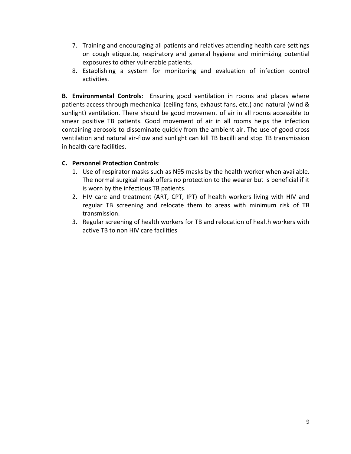- 7. Training and encouraging all patients and relatives attending health care settings on cough etiquette, respiratory and general hygiene and minimizing potential exposures to other vulnerable patients.
- 8. Establishing a system for monitoring and evaluation of infection control activities.

**B. Environmental Controls**: Ensuring good ventilation in rooms and places where patients access through mechanical (ceiling fans, exhaust fans, etc.) and natural (wind & sunlight) ventilation. There should be good movement of air in all rooms accessible to smear positive TB patients. Good movement of air in all rooms helps the infection containing aerosols to disseminate quickly from the ambient air. The use of good cross ventilation and natural air-flow and sunlight can kill TB bacilli and stop TB transmission in health care facilities.

### **C. Personnel Protection Controls**:

- 1. Use of respirator masks such as N95 masks by the health worker when available. The normal surgical mask offers no protection to the wearer but is beneficial if it is worn by the infectious TB patients.
- 2. HIV care and treatment (ART, CPT, IPT) of health workers living with HIV and regular TB screening and relocate them to areas with minimum risk of TB transmission.
- 3. Regular screening of health workers for TB and relocation of health workers with active TB to non HIV care facilities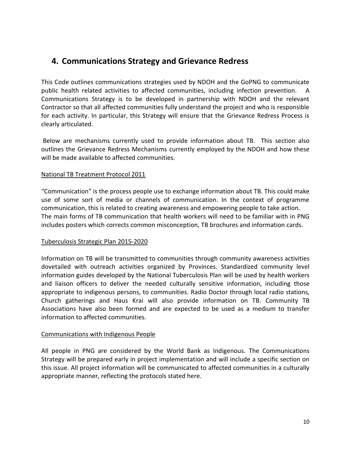# **4. Communications Strategy and Grievance Redress**

This Code outlines communications strategies used by NDOH and the GoPNG to communicate public health related activities to affected communities, including infection prevention. A Communications Strategy is to be developed in partnership with NDOH and the relevant Contractor so that all affected communities fully understand the project and who is responsible for each activity. In particular, this Strategy will ensure that the Grievance Redress Process is clearly articulated.

Below are mechanisms currently used to provide information about TB. This section also outlines the Grievance Redress Mechanisms currently employed by the NDOH and how these will be made available to affected communities.

### National TB Treatment Protocol 2011

"Communication" is the process people use to exchange information about TB. This could make use of some sort of media or channels of communication. In the context of programme communication, this is related to creating awareness and empowering people to take action. The main forms of TB communication that health workers will need to be familiar with in PNG includes posters which corrects common misconception, TB brochures and information cards.

#### Tuberculosis Strategic Plan 2015-2020

Information on TB will be transmitted to communities through community awareness activities dovetailed with outreach activities organized by Provinces. Standardized community level information guides developed by the National Tuberculosis Plan will be used by health workers and liaison officers to deliver the needed culturally sensitive information, including those appropriate to indigenous persons, to communities. Radio Doctor through local radio stations, Church gatherings and Haus Krai will also provide information on TB. Community TB Associations have also been formed and are expected to be used as a medium to transfer information to affected communities.

### Communications with Indigenous People

All people in PNG are considered by the World Bank as Indigenous. The Communications Strategy will be prepared early in project implementation and will include a specific section on this issue. All project information will be communicated to affected communities in a culturally appropriate manner, reflecting the protocols stated here.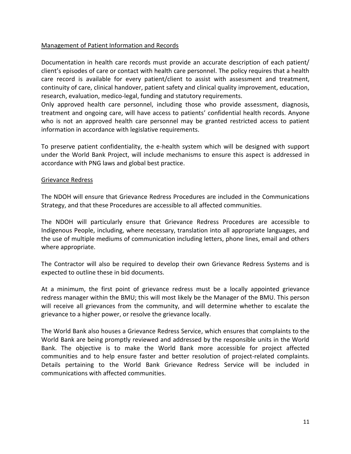#### Management of Patient Information and Records

Documentation in health care records must provide an accurate description of each patient/ client's episodes of care or contact with health care personnel. The policy requires that a health care record is available for every patient/client to assist with assessment and treatment, continuity of care, clinical handover, patient safety and clinical quality improvement, education, research, evaluation, medico-legal, funding and statutory requirements.

Only approved health care personnel, including those who provide assessment, diagnosis, treatment and ongoing care, will have access to patients' confidential health records. Anyone who is not an approved health care personnel may be granted restricted access to patient information in accordance with legislative requirements.

To preserve patient confidentiality, the e-health system which will be designed with support under the World Bank Project, will include mechanisms to ensure this aspect is addressed in accordance with PNG laws and global best practice.

#### Grievance Redress

The NDOH will ensure that Grievance Redress Procedures are included in the Communications Strategy, and that these Procedures are accessible to all affected communities.

The NDOH will particularly ensure that Grievance Redress Procedures are accessible to Indigenous People, including, where necessary, translation into all appropriate languages, and the use of multiple mediums of communication including letters, phone lines, email and others where appropriate.

The Contractor will also be required to develop their own Grievance Redress Systems and is expected to outline these in bid documents.

At a minimum, the first point of grievance redress must be a locally appointed grievance redress manager within the BMU; this will most likely be the Manager of the BMU. This person will receive all grievances from the community, and will determine whether to escalate the grievance to a higher power, or resolve the grievance locally.

The World Bank also houses a Grievance Redress Service, which ensures that complaints to the World Bank are being promptly reviewed and addressed by the responsible units in the World Bank. The objective is to make the World Bank more accessible for project affected communities and to help ensure faster and better resolution of project-related complaints. Details pertaining to the World Bank Grievance Redress Service will be included in communications with affected communities.